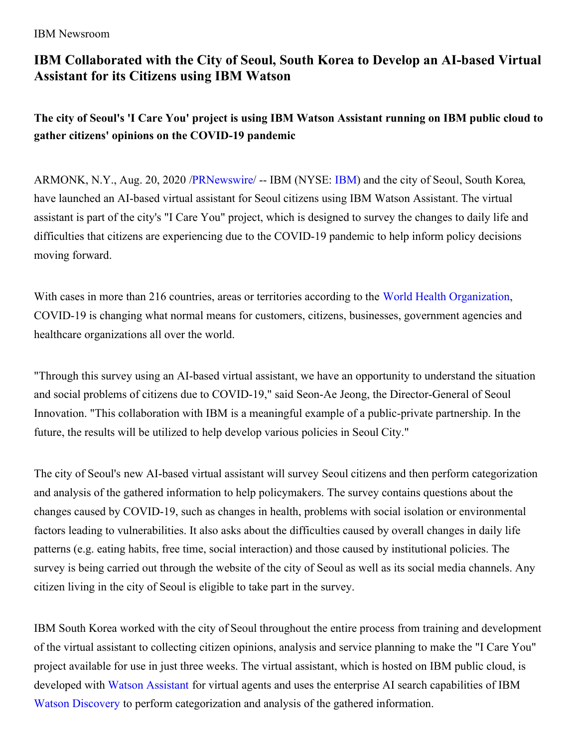IBM Newsroom

## **IBM Collaborated with the City of Seoul, South Korea to Develop an AI-based Virtual Assistant for its Citizens using IBM Watson**

The city of Seoul's 'I Care You' project is using IBM Watson Assistant running on IBM public cloud to **gather citizens' opinions on the COVID-19 pandemic**

ARMONK, N.Y., Aug. 20, 2020 [/PRNewswire](http://www.prnewswire.com/)/ -- IBM (NYSE: [IBM](https://c212.net/c/link/?t=0&l=en&o=2892139-1&h=1964788505&u=http%3A%2F%2Fwww.ibm.com%2Finvestor&a=IBM)) and the city of Seoul, South Korea, have launched an AI-based virtual assistant for Seoul citizens using IBM Watson Assistant. The virtual assistant is part of the city's "I Care You" project, which is designed to survey the changes to daily life and difficulties that citizens are experiencing due to the COVID-19 pandemic to help inform policy decisions moving forward.

With cases in more than 216 countries, areas or territories according to the World Health [Organization](https://c212.net/c/link/?t=0&l=en&o=2892139-1&h=2161811660&u=https%3A%2F%2Fwww.who.int%2Femergencies%2Fdiseases%2Fnovel-coronavirus-2019&a=World+Health+Organization), COVID-19 is changing what normal means for customers, citizens, businesses, government agencies and healthcare organizations all over the world.

"Through this survey using an AI-based virtual assistant, we have an opportunity to understand the situation and social problems of citizens due to COVID-19," said Seon-Ae Jeong, the Director-General of Seoul Innovation. "This collaboration with IBM is a meaningful example of a public-private partnership. In the future, the results will be utilized to help develop various policies in Seoul City."

The city of Seoul's new AI-based virtual assistant will survey Seoul citizens and then perform categorization and analysis of the gathered information to help policymakers. The survey contains questions about the changes caused by COVID-19, such as changes in health, problems with social isolation or environmental factors leading to vulnerabilities. It also asks about the difficulties caused by overall changes in daily life patterns (e.g. eating habits, free time, social interaction) and those caused by institutional policies. The survey is being carried out through the website of the city of Seoul as well as its social media channels. Any citizen living in the city of Seoul is eligible to take part in the survey.

IBM South Korea worked with the city of Seoul throughout the entire process from training and development of the virtual assistant to collecting citizen opinions, analysis and service planning to make the "I Care You" project available for use in just three weeks. The virtual assistant, which is hosted on IBM public cloud, is developed with Watson [Assistant](https://c212.net/c/link/?t=0&l=en&o=2892139-1&h=47006651&u=https%3A%2F%2Fwww.ibm.com%2Fcloud%2Fwatson-assistant%2F&a=Watson+Assistant) for virtual agents and uses the enterprise AI search capabilities of IBM Watson [Discovery](https://c212.net/c/link/?t=0&l=en&o=2892139-1&h=2263988600&u=https%3A%2F%2Fwww.ibm.com%2Fcloud%2Fwatson-discovery&a=Watson+Discovery) to perform categorization and analysis of the gathered information.